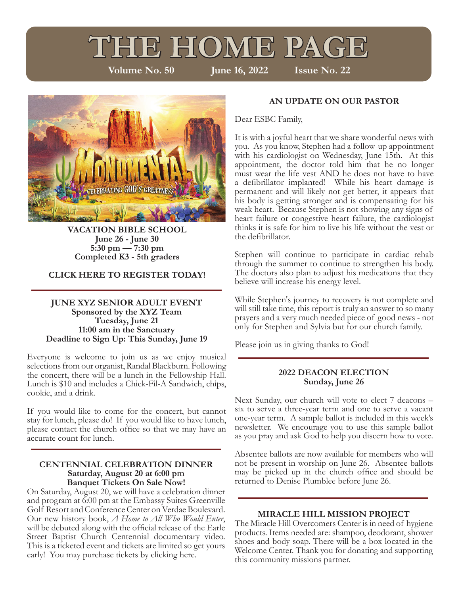# **THE HOME PAGE**<br>Volume No. 50 June 16, 2022 Issue No. 22

**Volume No. 50** 



**VACATION BIBLE SCHOOL June 26 - June 30 5:30 pm — 7:30 pm Completed K3 - 5th graders**

#### **CLICK HERE TO REGISTER TODAY!**

#### **JUNE XYZ SENIOR ADULT EVENT Sponsored by the XYZ Team Tuesday, June 21 11:00 am in the Sanctuary Deadline to Sign Up: This Sunday, June 19**

Everyone is welcome to join us as we enjoy musical selections from our organist, Randal Blackburn. Following the concert, there will be a lunch in the Fellowship Hall. Lunch is \$10 and includes a Chick-Fil-A Sandwich, chips, cookie, and a drink.

If you would like to come for the concert, but cannot stay for lunch, please do! If you would like to have lunch, please contact the church office so that we may have an accurate count for lunch.

#### **CENTENNIAL CELEBRATION DINNER Saturday, August 20 at 6:00 pm Banquet Tickets On Sale Now!**

On Saturday, August 20, we will have a celebration dinner and program at 6:00 pm at the Embassy Suites Greenville Golf Resort and Conference Center on Verdae Boulevard. Our new history book, *A Home to All Who Would Enter*, will be debuted along with the official release of the Earle Street Baptist Church Centennial documentary video. This is a ticketed event and tickets are limited so get yours early! You may purchase tickets by clicking here.

### **AN UPDATE ON OUR PASTOR**

Dear ESBC Family,

It is with a joyful heart that we share wonderful news with you. As you know, Stephen had a follow-up appointment with his cardiologist on Wednesday, June 15th. At this appointment, the doctor told him that he no longer must wear the life vest AND he does not have to have a defibrillator implanted! While his heart damage is permanent and will likely not get better, it appears that his body is getting stronger and is compensating for his weak heart. Because Stephen is not showing any signs of heart failure or congestive heart failure, the cardiologist thinks it is safe for him to live his life without the vest or the defibrillator.

Stephen will continue to participate in cardiac rehab through the summer to continue to strengthen his body. The doctors also plan to adjust his medications that they believe will increase his energy level.

While Stephen's journey to recovery is not complete and will still take time, this report is truly an answer to so many prayers and a very much needed piece of good news - not only for Stephen and Sylvia but for our church family.

Please join us in giving thanks to God!

#### **2022 DEACON ELECTION Sunday, June 26**

Next Sunday, our church will vote to elect 7 deacons – six to serve a three-year term and one to serve a vacant one-year term. A sample ballot is included in this week's newsletter. We encourage you to use this sample ballot as you pray and ask God to help you discern how to vote.

Absentee ballots are now available for members who will not be present in worship on June 26. Absentee ballots may be picked up in the church office and should be returned to Denise Plumblee before June 26.

#### **MIRACLE HILL MISSION PROJECT**

The Miracle Hill Overcomers Center is in need of hygiene products. Items needed are: shampoo, deodorant, shower shoes and body soap. There will be a box located in the Welcome Center. Thank you for donating and supporting this community missions partner.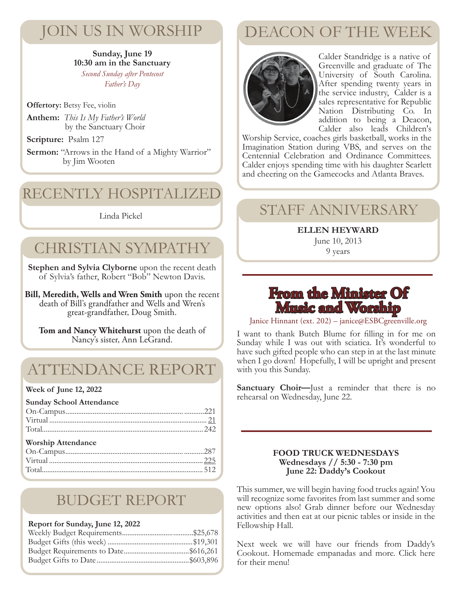# JOIN US IN WORSHIP

#### **Sunday, June 19 10:30 am in the Sanctuary** *Second Sunday after Pentecost Father's Day*

**Offertory:** Betsy Fee, violin

**Anthem:** *This Is My Father's World* by the Sanctuary Choir

**Scripture:** Psalm 127

**Sermon:** "Arrows in the Hand of a Mighty Warrior" by Jim Wooten

# RECENTLY HOSPITALIZED

#### Linda Pickel

# CHRISTIAN SYMPATHY

**Stephen and Sylvia Clyborne** upon the recent death of Sylvia's father, Robert "Bob" Newton Davis.

**Bill, Meredith, Wells and Wren Smith** upon the recent death of Bill's grandfather and Wells and Wren's great-grandfather, Doug Smith.

**Tom and Nancy Whitehurst** upon the death of Nancy's sister, Ann LeGrand.

# ATTENDANCE REPORT

#### **Week of June 12, 2022**

## BUDGET REPORT

#### **Report for Sunday, June 12, 2022**

# DEACON OF THE WEEK



Calder Standridge is a native of Greenville and graduate of The University of South Carolina. After spending twenty years in the service industry, Calder is a sales representative for Republic Nation Distributing Co. In addition to being a Deacon, Calder also leads Children's

Worship Service, coaches girls basketball, works in the Imagination Station during VBS, and serves on the Centennial Celebration and Ordinance Committees. Calder enjoys spending time with his daughter Scarlett and cheering on the Gamecocks and Atlanta Braves.

## STAFF ANNIVERSARY

**ELLEN HEYWARD** June 10, 2013

9 years

## **From the Minister Of Music and Worship**

Janice Hinnant (ext. 202) – janice@ESBCgreenville.org

I want to thank Butch Blume for filling in for me on Sunday while I was out with sciatica. It's wonderful to have such gifted people who can step in at the last minute when I go down! Hopefully, I will be upright and present with you this Sunday.

**Sanctuary Choir—**Just a reminder that there is no rehearsal on Wednesday, June 22.

#### **FOOD TRUCK WEDNESDAYS Wednesdays // 5:30 - 7:30 pm June 22: Daddy's Cookout**

This summer, we will begin having food trucks again! You will recognize some favorites from last summer and some new options also! Grab dinner before our Wednesday activities and then eat at our picnic tables or inside in the Fellowship Hall.

Next week we will have our friends from Daddy's Cookout. Homemade empanadas and more. Click here for their menu!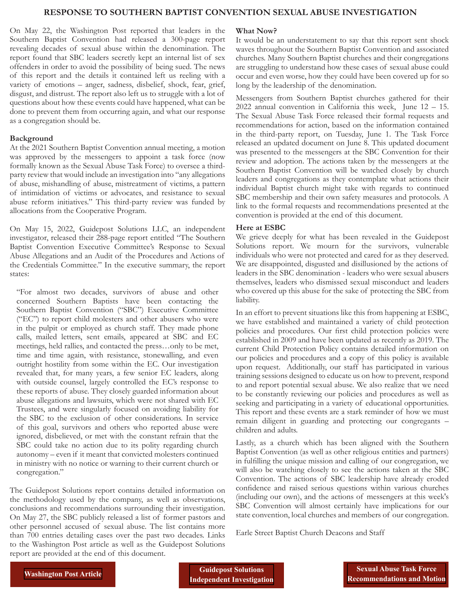#### **RESPONSE TO SOUTHERN BAPTIST CONVENTION SEXUAL ABUSE INVESTIGATION**

On May 22, the Washington Post reported that leaders in the Southern Baptist Convention had released a 300-page report revealing decades of sexual abuse within the denomination. The report found that SBC leaders secretly kept an internal list of sex offenders in order to avoid the possibility of being sued. The news of this report and the details it contained left us reeling with a variety of emotions – anger, sadness, disbelief, shock, fear, grief, disgust, and distrust. The report also left us to struggle with a lot of questions about how these events could have happened, what can be done to prevent them from occurring again, and what our response as a congregation should be.

#### **Background**

At the 2021 Southern Baptist Convention annual meeting, a motion was approved by the messengers to appoint a task force (now formally known as the Sexual Abuse Task Force) to oversee a thirdparty review that would include an investigation into "any allegations of abuse, mishandling of abuse, mistreatment of victims, a pattern of intimidation of victims or advocates, and resistance to sexual abuse reform initiatives." This third-party review was funded by allocations from the Cooperative Program.

On May 15, 2022, Guidepost Solutions LLC, an independent investigator, released their 288-page report entitled "The Southern Baptist Convention Executive Committee's Response to Sexual Abuse Allegations and an Audit of the Procedures and Actions of the Credentials Committee." In the executive summary, the report states:

"For almost two decades, survivors of abuse and other concerned Southern Baptists have been contacting the Southern Baptist Convention ("SBC") Executive Committee ("EC") to report child molesters and other abusers who were in the pulpit or employed as church staff. They made phone calls, mailed letters, sent emails, appeared at SBC and EC meetings, held rallies, and contacted the press…only to be met, time and time again, with resistance, stonewalling, and even outright hostility from some within the EC. Our investigation revealed that, for many years, a few senior EC leaders, along with outside counsel, largely controlled the EC's response to these reports of abuse. They closely guarded information about abuse allegations and lawsuits, which were not shared with EC Trustees, and were singularly focused on avoiding liability for the SBC to the exclusion of other considerations. In service of this goal, survivors and others who reported abuse were ignored, disbelieved, or met with the constant refrain that the SBC could take no action due to its polity regarding church autonomy – even if it meant that convicted molesters continued in ministry with no notice or warning to their current church or congregation."

The Guidepost Solutions report contains detailed information on the methodology used by the company, as well as observations, conclusions and recommendations surrounding their investigation. On May 27, the SBC publicly released a list of former pastors and other personnel accused of sexual abuse. The list contains more than 700 entries detailing cases over the past two decades. Links to the Washington Post article as well as the Guidepost Solutions report are provided at the end of this document.

#### **What Now?**

It would be an understatement to say that this report sent shock waves throughout the Southern Baptist Convention and associated churches. Many Southern Baptist churches and their congregations are struggling to understand how these cases of sexual abuse could occur and even worse, how they could have been covered up for so long by the leadership of the denomination.

Messengers from Southern Baptist churches gathered for their 2022 annual convention in California this week, June 12 – 15. The Sexual Abuse Task Force released their formal requests and recommendations for action, based on the information contained in the third-party report, on Tuesday, June 1. The Task Force released an updated document on June 8. This updated document was presented to the messengers at the SBC Convention for their review and adoption. The actions taken by the messengers at the Southern Baptist Convention will be watched closely by church leaders and congregations as they contemplate what actions their individual Baptist church might take with regards to continued SBC membership and their own safety measures and protocols. A link to the formal requests and recommendations presented at the convention is provided at the end of this document.

#### **Here at ESBC**

We grieve deeply for what has been revealed in the Guidepost Solutions report. We mourn for the survivors, vulnerable individuals who were not protected and cared for as they deserved. We are disappointed, disgusted and disillusioned by the actions of leaders in the SBC denomination - leaders who were sexual abusers themselves, leaders who dismissed sexual misconduct and leaders who covered up this abuse for the sake of protecting the SBC from liability.

In an effort to prevent situations like this from happening at ESBC, we have established and maintained a variety of child protection policies and procedures. Our first child protection policies were established in 2009 and have been updated as recently as 2019. The current Child Protection Policy contains detailed information on our policies and procedures and a copy of this policy is available upon request. Additionally, our staff has participated in various training sessions designed to educate us on how to prevent, respond to and report potential sexual abuse. We also realize that we need to be constantly reviewing our policies and procedures as well as seeking and participating in a variety of educational opportunities. This report and these events are a stark reminder of how we must remain diligent in guarding and protecting our congregants – children and adults.

Lastly, as a church which has been aligned with the Southern Baptist Convention (as well as other religious entities and partners) in fulfilling the unique mission and calling of our congregation, we will also be watching closely to see the actions taken at the SBC Convention. The actions of SBC leadership have already eroded confidence and raised serious questions within various churches (including our own), and the actions of messengers at this week's SBC Convention will almost certainly have implications for our state convention, local churches and members of our congregation.

Earle Street Baptist Church Deacons and Staff

**[Independent Investigation](https://www.documentcloud.org/documents/22028383-guidepost-investigation-of-the-southern-baptist-convention)**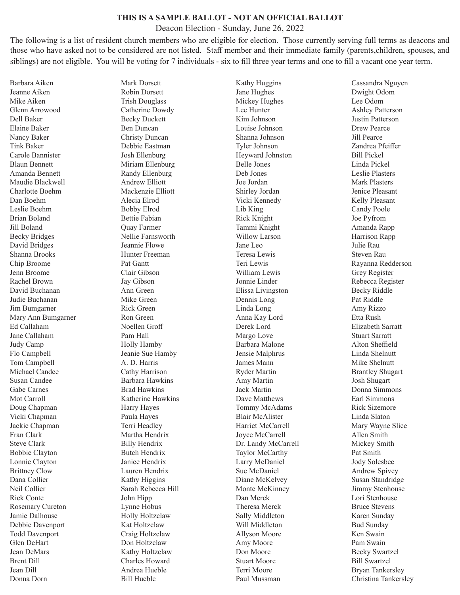#### **THIS IS A SAMPLE BALLOT - NOT AN OFFICIAL BALLOT**

Deacon Election - Sunday, June 26, 2022

The following is a list of resident church members who are eligible for election. Those currently serving full terms as deacons and those who have asked not to be considered are not listed. Staff member and their immediate family (parents,children, spouses, and siblings) are not eligible. You will be voting for 7 individuals - six to fill three year terms and one to fill a vacant one year term.

Barbara Aiken Jeanne Aiken Mike Aiken Glenn Arrowood Dell Baker Elaine Baker Nancy Baker Tink Baker Carole Bannister Blaun Bennett Amanda Bennett Maudie Blackwell Charlotte Boehm Dan Boehm Leslie Boehm Brian Boland Jill Boland Becky Bridges David Bridges Shanna Brooks Chip Broome Jenn Broome Rachel Brown David Buchanan Judie Buchanan Jim Bumgarner Mary Ann Bumgarner Ed Callaham Jane Callaham Judy Camp Flo Campbell Tom Campbell Michael Candee Susan Candee Gabe Carnes Mot Carroll Doug Chapman Vicki Chapman Jackie Chapman Fran Clark Steve Clark Bobbie Clayton Lonnie Clayton Brittney Clow Dana Collier Neil Collier Rick Conte Rosemary Cureton Jamie Dalhouse Debbie Davenport Todd Davenport Glen DeHart Jean DeMars Brent Dill Jean Dill Donna Dorn

Mark Dorsett Robin Dorsett Trish Douglass Catherine Dowdy Becky Duckett Ben Duncan Christy Duncan Debbie Eastman Josh Ellenburg Miriam Ellenburg Randy Ellenburg Andrew Elliott Mackenzie Elliott Alecia Elrod Bobby Elrod Bettie Fabian Quay Farmer Nellie Farnsworth Jeannie Flowe Hunter Freeman Pat Gantt Clair Gibson Jay Gibson Ann Green Mike Green Rick Green Ron Green Noellen Groff Pam Hall Holly Hamby Jeanie Sue Hamby A. D. Harris Cathy Harrison Barbara Hawkins Brad Hawkins Katherine Hawkins Harry Hayes Paula Hayes Terri Headley Martha Hendrix Billy Hendrix Butch Hendrix Janice Hendrix Lauren Hendrix Kathy Higgins Sarah Rebecca Hill John Hipp Lynne Hobus Holly Holtzclaw Kat Holtzclaw Craig Holtzclaw Don Holtzclaw Kathy Holtzclaw Charles Howard Andrea Hueble Bill Hueble

Kathy Huggins Jane Hughes Mickey Hughes Lee Hunter Kim Johnson Louise Johnson Shanna Johnson Tyler Johnson Heyward Johnston Belle Jones Deb Jones Joe Jordan Shirley Jordan Vicki Kennedy Lib King Rick Knight Tammi Knight Willow Larson Jane Leo Teresa Lewis Teri Lewis William Lewis Jonnie Linder Elissa Livingston Dennis Long Linda Long Anna Kay Lord Derek Lord Margo Love Barbara Malone Jensie Malphrus James Mann Ryder Martin Amy Martin Jack Martin Dave Matthews Tommy McAdams Blair McAlister Harriet McCarrell Joyce McCarrell Dr. Landy McCarrell Taylor McCarthy Larry McDaniel Sue McDaniel Diane McKelvey Monte McKinney Dan Merck Theresa Merck Sally Middleton Will Middleton Allyson Moore Amy Moore Don Moore Stuart Moore Terri Moore Paul Mussman

Cassandra Nguyen Dwight Odom Lee Odom Ashley Patterson Justin Patterson Drew Pearce Jill Pearce Zandrea Pfeiffer Bill Pickel Linda Pickel Leslie Plasters Mark Plasters Jenice Pleasant Kelly Pleasant Candy Poole Joe Pyfrom Amanda Rapp Harrison Rapp Julie Rau Steven Rau Rayanna Redderson Grey Register Rebecca Register Becky Riddle Pat Riddle Amy Rizzo Etta Rush Elizabeth Sarratt Stuart Sarratt Alton Sheffield Linda Shelnutt Mike Shelnutt Brantley Shugart Josh Shugart Donna Simmons Earl Simmons Rick Sizemore Linda Slaton Mary Wayne Slice Allen Smith Mickey Smith Pat Smith Jody Solesbee Andrew Spivey Susan Standridge Jimmy Stenhouse Lori Stenhouse Bruce Stevens Karen Sunday Bud Sunday Ken Swain Pam Swain Becky Swartzel Bill Swartzel Bryan Tankersley Christina Tankersley